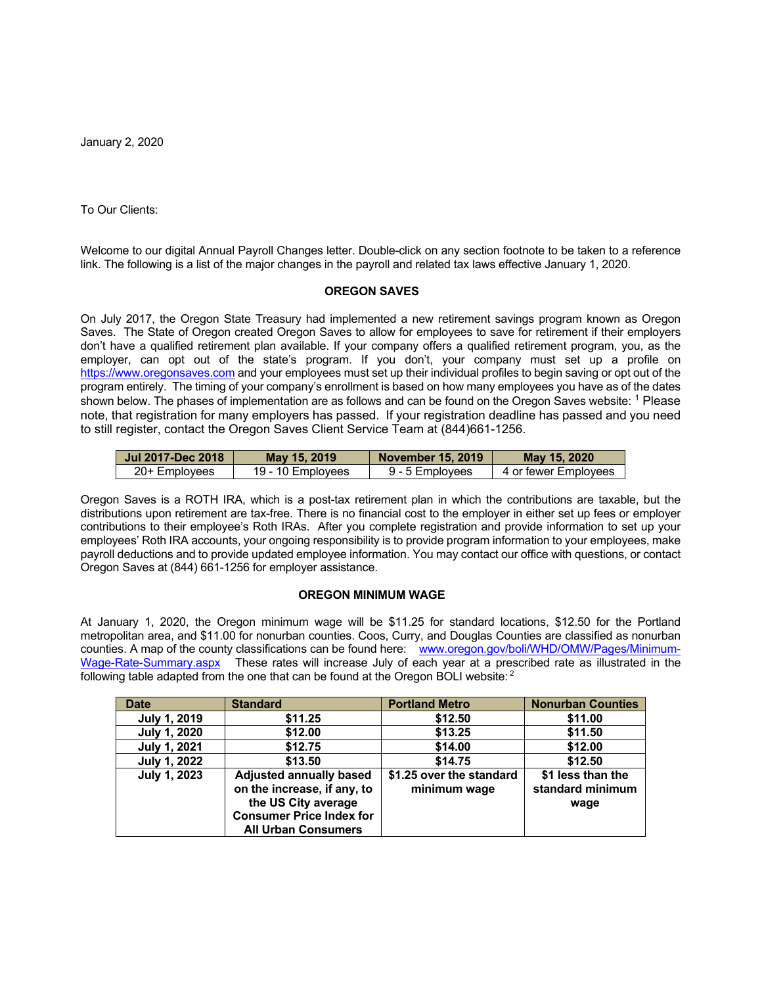January 2, 2020

To Our Clients:

Welcome to our digital Annual Payroll Changes letter. Double-click on any section footnote to be taken to a reference link. The following is a list of the major changes in the payroll and related tax laws effective January 1, 2020.

## **OREGON SAVES**

On July 2017, the Oregon State Treasury had implemented a new retirement savings program known as Oregon Saves. The State of Oregon created Oregon Saves to allow for employees to save for retirement if their employers don't have a qualified retirement plan available. If your company offers a qualified retirement program, you, as the employer, can opt out of the state's program. If you don't, your company must set up a profile on https://www.oregonsaves.com and your employees must set up their individual profiles to begin saving or opt out of the program entirely. The timing of your company's enrollment is based on how many employees you have as of the dates shown below. The phases of implementation are as follows and can be found on the Oregon Saves website: <sup>1</sup> Please note, that registration for many employers has passed. If your registration deadline has passed and you need to still register, contact the Oregon Saves Client Service Team at (844)661-1256.

| Jul 2017-Dec 2018 | May 15, 2019      | November 15, 2019 | May 15, 2020         |
|-------------------|-------------------|-------------------|----------------------|
| 20+ Employees     | 19 - 10 Employees | 9 - 5 Emplovees   | 4 or fewer Emplovees |

Oregon Saves is a ROTH IRA, which is a post-tax retirement plan in which the contributions are taxable, but the distributions upon retirement are tax-free. There is no financial cost to the employer in either set up fees or employer contributions to their employee's Roth IRAs. After you complete registration and provide information to set up your employees' Roth IRA accounts, your ongoing responsibility is to provide program information to your employees, make payroll deductions and to provide updated employee information. You may contact our office with questions, or contact Oregon Saves at (844) 661-1256 for employer assistance.

## **OREGON MINIMUM WAGE**

At January 1, 2020, the Oregon minimum wage will be \$11.25 for standard locations, \$12.50 for the Portland metropolitan area, and \$11.00 for nonurban counties. Coos, Curry, and Douglas Counties are classified as nonurban counties. A map of the county classifications can be found here: www.oregon.gov/boli/WHD/OMW/Pages/Minimum-Wage-Rate-Summary.aspx These rates will increase July of each year at a prescribed rate as illustrated in the following table adapted from the one that can be found at the Oregon BOLI website:  $2$ 

| <b>Date</b>         | <b>Standard</b>                                                                                                                                       | <b>Portland Metro</b>                    | <b>Nonurban Counties</b>                      |  |  |
|---------------------|-------------------------------------------------------------------------------------------------------------------------------------------------------|------------------------------------------|-----------------------------------------------|--|--|
| July 1, 2019        | \$11.25                                                                                                                                               | \$12.50                                  | \$11.00                                       |  |  |
| <b>July 1, 2020</b> | \$12.00                                                                                                                                               | \$13.25                                  | \$11.50                                       |  |  |
| July 1, 2021        | \$12.75                                                                                                                                               | \$14.00                                  | \$12.00                                       |  |  |
| July 1, 2022        | \$13.50                                                                                                                                               | \$14.75                                  | \$12.50                                       |  |  |
| July 1, 2023        | <b>Adjusted annually based</b><br>on the increase, if any, to<br>the US City average<br><b>Consumer Price Index for</b><br><b>All Urban Consumers</b> | \$1.25 over the standard<br>minimum wage | \$1 less than the<br>standard minimum<br>wage |  |  |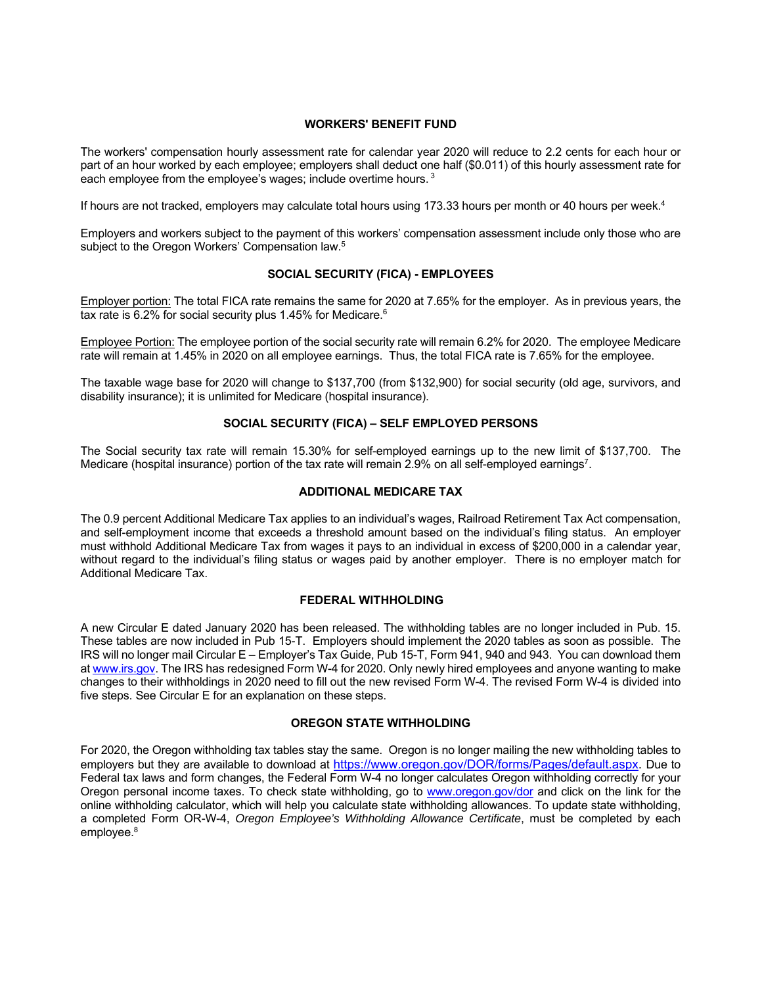## **WORKERS' BENEFIT FUND**

The workers' compensation hourly assessment rate for calendar year 2020 will reduce to 2.2 cents for each hour or part of an hour worked by each employee; employers shall deduct one half (\$0.011) of this hourly assessment rate for each employee from the employee's wages; include overtime hours.  $3$ 

If hours are not tracked, employers may calculate total hours using 173.33 hours per month or 40 hours per week.<sup>4</sup>

Employers and workers subject to the payment of this workers' compensation assessment include only those who are subject to the Oregon Workers' Compensation law.<sup>5</sup>

# **SOCIAL SECURITY (FICA) - EMPLOYEES**

Employer portion: The total FICA rate remains the same for 2020 at 7.65% for the employer. As in previous years, the tax rate is 6.2% for social security plus 1.45% for Medicare.<sup>6</sup>

Employee Portion: The employee portion of the social security rate will remain 6.2% for 2020. The employee Medicare rate will remain at 1.45% in 2020 on all employee earnings. Thus, the total FICA rate is 7.65% for the employee.

The taxable wage base for 2020 will change to \$137,700 (from \$132,900) for social security (old age, survivors, and disability insurance); it is unlimited for Medicare (hospital insurance).

# **SOCIAL SECURITY (FICA) – SELF EMPLOYED PERSONS**

The Social security tax rate will remain 15.30% for self-employed earnings up to the new limit of \$137,700. The Medicare (hospital insurance) portion of the tax rate will remain 2.9% on all self-employed earnings<sup>7</sup>.

# **ADDITIONAL MEDICARE TAX**

The 0.9 percent Additional Medicare Tax applies to an individual's wages, Railroad Retirement Tax Act compensation, and self-employment income that exceeds a threshold amount based on the individual's filing status. An employer must withhold Additional Medicare Tax from wages it pays to an individual in excess of \$200,000 in a calendar year, without regard to the individual's filing status or wages paid by another employer. There is no employer match for Additional Medicare Tax.

# **FEDERAL WITHHOLDING**

A new Circular E dated January 2020 has been released. The withholding tables are no longer included in Pub. 15. These tables are now included in Pub 15-T. Employers should implement the 2020 tables as soon as possible. The IRS will no longer mail Circular E – Employer's Tax Guide, Pub 15-T, Form 941, 940 and 943. You can download them at www.irs.gov. The IRS has redesigned Form W-4 for 2020. Only newly hired employees and anyone wanting to make changes to their withholdings in 2020 need to fill out the new revised Form W-4. The revised Form W-4 is divided into five steps. See Circular E for an explanation on these steps.

## **OREGON STATE WITHHOLDING**

For 2020, the Oregon withholding tax tables stay the same. Oregon is no longer mailing the new withholding tables to employers but they are available to download at https://www.oregon.gov/DOR/forms/Pages/default.aspx. Due to Federal tax laws and form changes, the Federal Form W-4 no longer calculates Oregon withholding correctly for your Oregon personal income taxes. To check state withholding, go to www.oregon.gov/dor and click on the link for the online withholding calculator, which will help you calculate state withholding allowances. To update state withholding, a completed Form OR-W-4, *Oregon Employee's Withholding Allowance Certificate*, must be completed by each employee.<sup>8</sup>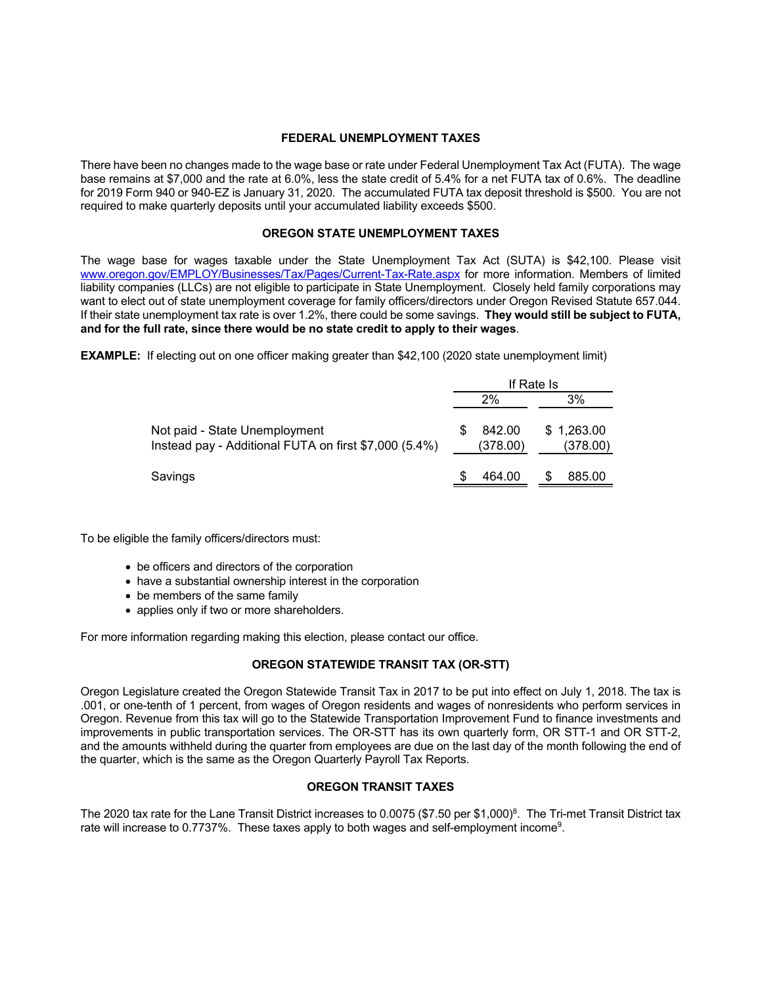## **FEDERAL UNEMPLOYMENT TAXES**

There have been no changes made to the wage base or rate under Federal Unemployment Tax Act (FUTA). The wage base remains at \$7,000 and the rate at 6.0%, less the state credit of 5.4% for a net FUTA tax of 0.6%. The deadline for 2019 Form 940 or 940-EZ is January 31, 2020. The accumulated FUTA tax deposit threshold is \$500. You are not required to make quarterly deposits until your accumulated liability exceeds \$500.

# **OREGON STATE UNEMPLOYMENT TAXES**

The wage base for wages taxable under the State Unemployment Tax Act (SUTA) is \$42,100. Please visit www.oregon.gov/EMPLOY/Businesses/Tax/Pages/Current-Tax-Rate.aspx for more information. Members of limited liability companies (LLCs) are not eligible to participate in State Unemployment. Closely held family corporations may want to elect out of state unemployment coverage for family officers/directors under Oregon Revised Statute 657.044. If their state unemployment tax rate is over 1.2%, there could be some savings. **They would still be subject to FUTA, and for the full rate, since there would be no state credit to apply to their wages**.

**EXAMPLE:** If electing out on one officer making greater than \$42,100 (2020 state unemployment limit)

|                                                                                        | If Rate Is |                    |    |                        |
|----------------------------------------------------------------------------------------|------------|--------------------|----|------------------------|
|                                                                                        |            | 2%                 | 3% |                        |
| Not paid - State Unemployment<br>Instead pay - Additional FUTA on first \$7,000 (5.4%) | \$.        | 842.00<br>(378.00) |    | \$1,263.00<br>(378.00) |
| Savings                                                                                | S          | 464.00             | S  | 885.00                 |

To be eligible the family officers/directors must:

- be officers and directors of the corporation
- have a substantial ownership interest in the corporation
- be members of the same family
- applies only if two or more shareholders.

For more information regarding making this election, please contact our office.

# **OREGON STATEWIDE TRANSIT TAX (OR-STT)**

Oregon Legislature created the Oregon Statewide Transit Tax in 2017 to be put into effect on July 1, 2018. The tax is .001, or one-tenth of 1 percent, from wages of Oregon residents and wages of nonresidents who perform services in Oregon. Revenue from this tax will go to the Statewide Transportation Improvement Fund to finance investments and improvements in public transportation services. The OR-STT has its own quarterly form, OR STT-1 and OR STT-2, and the amounts withheld during the quarter from employees are due on the last day of the month following the end of the quarter, which is the same as the Oregon Quarterly Payroll Tax Reports.

# **OREGON TRANSIT TAXES**

The 2020 tax rate for the Lane Transit District increases to 0.0075 (\$7.50 per \$1,000)<sup>8</sup>. The Tri-met Transit District tax rate will increase to 0.7737%. These taxes apply to both wages and self-employment income<sup>9</sup>.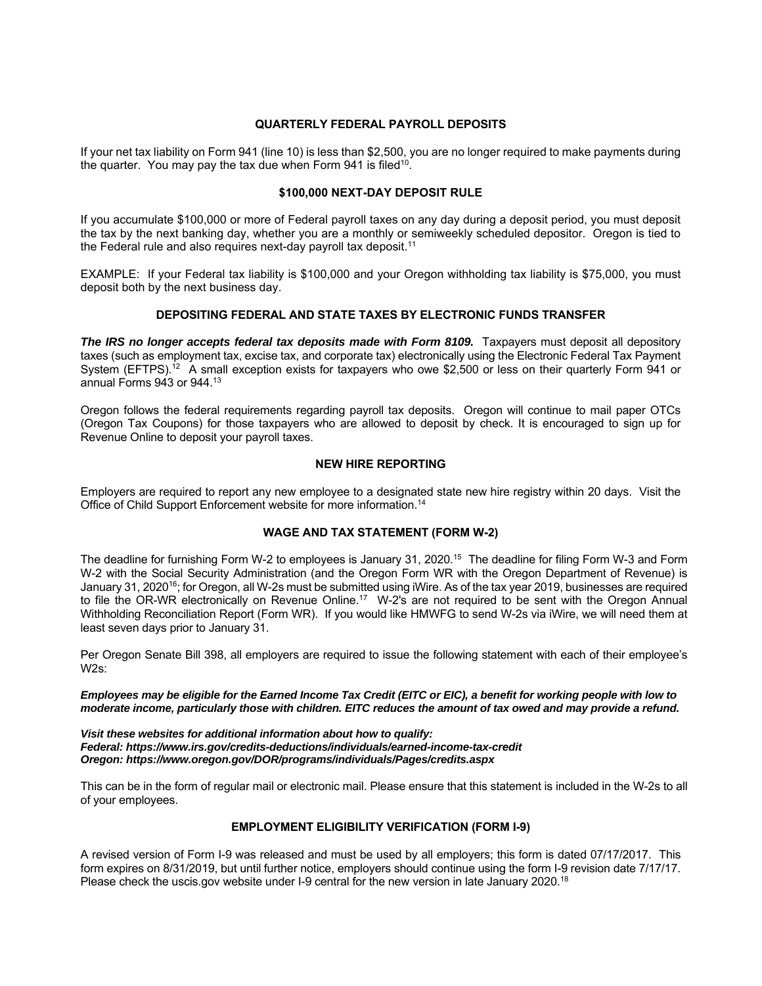#### **QUARTERLY FEDERAL PAYROLL DEPOSITS**

If your net tax liability on Form 941 (line 10) is less than \$2,500, you are no longer required to make payments during the quarter. You may pay the tax due when Form 941 is filed<sup>10</sup>.

# **\$100,000 NEXT-DAY DEPOSIT RULE**

If you accumulate \$100,000 or more of Federal payroll taxes on any day during a deposit period, you must deposit the tax by the next banking day, whether you are a monthly or semiweekly scheduled depositor. Oregon is tied to the Federal rule and also requires next-day payroll tax deposit. $^{\mathsf{11}}$ 

EXAMPLE: If your Federal tax liability is \$100,000 and your Oregon withholding tax liability is \$75,000, you must deposit both by the next business day.

# **DEPOSITING FEDERAL AND STATE TAXES BY ELECTRONIC FUNDS TRANSFER**

**The IRS no longer accepts federal tax deposits made with Form 8109.** Taxpayers must deposit all depository taxes (such as employment tax, excise tax, and corporate tax) electronically using the Electronic Federal Tax Payment System (EFTPS).<sup>12</sup> A small exception exists for taxpayers who owe \$2,500 or less on their quarterly Form 941 or annual Forms  $943$  or  $944.^{13}$ 

Oregon follows the federal requirements regarding payroll tax deposits. Oregon will continue to mail paper OTCs (Oregon Tax Coupons) for those taxpayers who are allowed to deposit by check. It is encouraged to sign up for Revenue Online to deposit your payroll taxes.

#### **NEW HIRE REPORTING**

Employers are required to report any new employee to a designated state new hire registry within 20 days. Visit the Office of Child Support Enforcement website for more information.<sup>14</sup>

## **WAGE AND TAX STATEMENT (FORM W-2)**

The deadline for furnishing Form W-2 to employees is January 31, 2020.<sup>15</sup> The deadline for filing Form W-3 and Form W-2 with the Social Security Administration (and the Oregon Form WR with the Oregon Department of Revenue) is January 31, 2020<sup>16</sup>; for Oregon, all W-2s must be submitted using iWire. As of the tax year 2019, businesses are required to file the OR-WR electronically on Revenue Online.<sup>17</sup> W-2's are not required to be sent with the Oregon Annual Withholding Reconciliation Report (Form WR). If you would like HMWFG to send W-2s via iWire, we will need them at least seven days prior to January 31.

Per Oregon Senate Bill 398, all employers are required to issue the following statement with each of their employee's  $M2s$ .

*Employees may be eligible for the Earned Income Tax Credit (EITC or EIC), a benefit for working people with low to moderate income, particularly those with children. EITC reduces the amount of tax owed and may provide a refund.* 

*Visit these websites for additional information about how to qualify: Federal: https://www.irs.gov/credits-deductions/individuals/earned-income-tax-credit Oregon: https://www.oregon.gov/DOR/programs/individuals/Pages/credits.aspx* 

This can be in the form of regular mail or electronic mail. Please ensure that this statement is included in the W-2s to all of your employees.

# **EMPLOYMENT ELIGIBILITY VERIFICATION (FORM I-9)**

A revised version of Form I-9 was released and must be used by all employers; this form is dated 07/17/2017. This form expires on 8/31/2019, but until further notice, employers should continue using the form I-9 revision date 7/17/17. Please check the uscis.gov website under I-9 central for the new version in late January 2020.<sup>18</sup>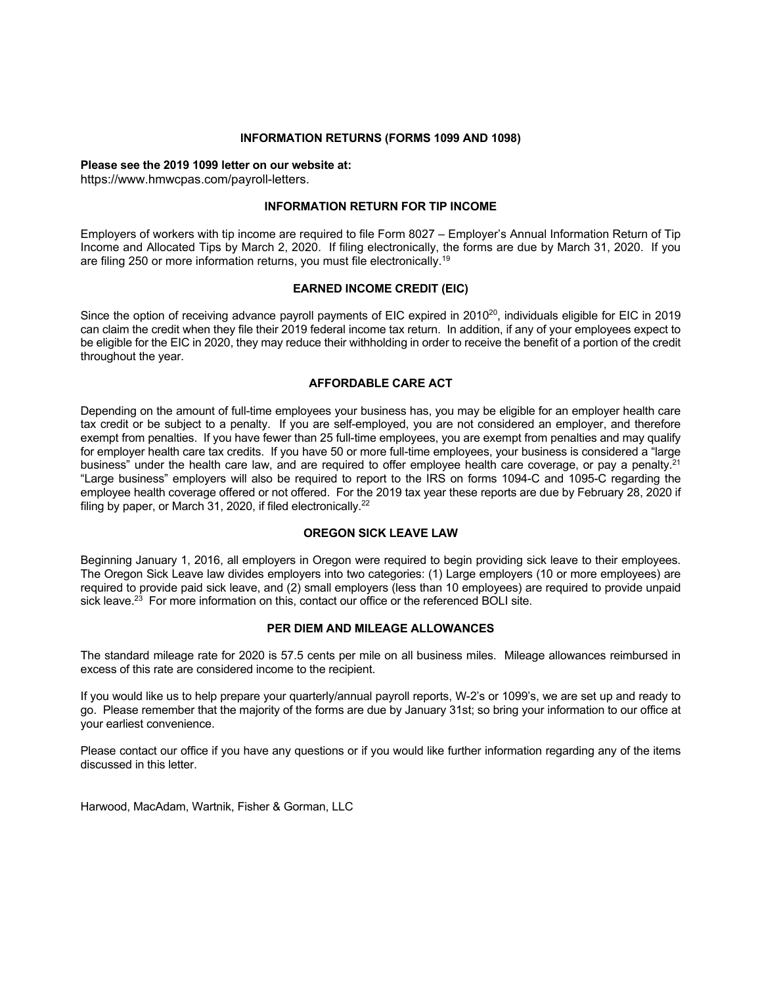## **INFORMATION RETURNS (FORMS 1099 AND 1098)**

# **Please see the 2019 1099 letter on our website at:**

https://www.hmwcpas.com/payroll-letters.

# **INFORMATION RETURN FOR TIP INCOME**

Employers of workers with tip income are required to file Form 8027 – Employer's Annual Information Return of Tip Income and Allocated Tips by March 2, 2020. If filing electronically, the forms are due by March 31, 2020. If you are filing 250 or more information returns, you must file electronically.<sup>19</sup>

# **EARNED INCOME CREDIT (EIC)**

Since the option of receiving advance payroll payments of EIC expired in 2010<sup>20</sup>, individuals eligible for EIC in 2019 can claim the credit when they file their 2019 federal income tax return. In addition, if any of your employees expect to be eligible for the EIC in 2020, they may reduce their withholding in order to receive the benefit of a portion of the credit throughout the year.

# **AFFORDABLE CARE ACT**

Depending on the amount of full-time employees your business has, you may be eligible for an employer health care tax credit or be subject to a penalty. If you are self-employed, you are not considered an employer, and therefore exempt from penalties. If you have fewer than 25 full-time employees, you are exempt from penalties and may qualify for employer health care tax credits. If you have 50 or more full-time employees, your business is considered a "large business" under the health care law, and are required to offer employee health care coverage, or pay a penalty.<sup>21</sup> "Large business" employers will also be required to report to the IRS on forms 1094-C and 1095-C regarding the employee health coverage offered or not offered. For the 2019 tax year these reports are due by February 28, 2020 if filing by paper, or March 31, 2020, if filed electronically. $^{22}$ 

# **OREGON SICK LEAVE LAW**

Beginning January 1, 2016, all employers in Oregon were required to begin providing sick leave to their employees. The Oregon Sick Leave law divides employers into two categories: (1) Large employers (10 or more employees) are required to provide paid sick leave, and (2) small employers (less than 10 employees) are required to provide unpaid sick leave. $23$  For more information on this, contact our office or the referenced BOLI site.

## **PER DIEM AND MILEAGE ALLOWANCES**

The standard mileage rate for 2020 is 57.5 cents per mile on all business miles. Mileage allowances reimbursed in excess of this rate are considered income to the recipient.

If you would like us to help prepare your quarterly/annual payroll reports, W-2's or 1099's, we are set up and ready to go. Please remember that the majority of the forms are due by January 31st; so bring your information to our office at your earliest convenience.

Please contact our office if you have any questions or if you would like further information regarding any of the items discussed in this letter.

Harwood, MacAdam, Wartnik, Fisher & Gorman, LLC